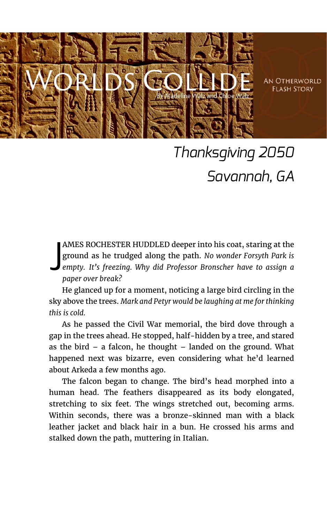

**AN OTHERWORLD FI ASH STORY** 

## *Thanksgiving 2050 Savannah, GA*

AMES ROCHESTER HUDDLED deeper into his coat, staring at the ground as he trudged along the path. *No wonder Forsyth Park is empty. It's freezing. Why did Professor Bronscher have to assign a paper over break?* J

He glanced up for a moment, noticing a large bird circling in the sky above the trees. *Mark and Petyr would be laughing at me for thinking this is cold.*

As he passed the Civil War memorial, the bird dove through a gap in the trees ahead. He stopped, half-hidden by a tree, and stared as the bird  $-$  a falcon, he thought  $-$  landed on the ground. What happened next was bizarre, even considering what he'd learned about Arkeda a few months ago.

The falcon began to change. The bird's head morphed into a human head. The feathers disappeared as its body elongated, stretching to six feet. The wings stretched out, becoming arms. Within seconds, there was a bronze-skinned man with a black leather jacket and black hair in a bun. He crossed his arms and stalked down the path, muttering in Italian.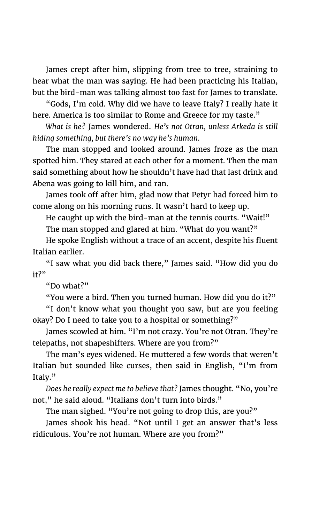James crept after him, slipping from tree to tree, straining to hear what the man was saying. He had been practicing his Italian, but the bird-man was talking almost too fast for James to translate.

"Gods, I'm cold. Why did we have to leave Italy? I really hate it here. America is too similar to Rome and Greece for my taste."

*What is he?* James wondered. *He's not Otran, unless Arkeda is still hiding something, but there's no way he's human.*

The man stopped and looked around. James froze as the man spotted him. They stared at each other for a moment. Then the man said something about how he shouldn't have had that last drink and Abena was going to kill him, and ran.

James took off after him, glad now that Petyr had forced him to come along on his morning runs. It wasn't hard to keep up.

He caught up with the bird-man at the tennis courts. "Wait!"

The man stopped and glared at him. "What do you want?"

He spoke English without a trace of an accent, despite his fluent Italian earlier.

"I saw what you did back there," James said. "How did you do it?"

"Do what?"

"You were a bird. Then you turned human. How did you do it?"

"I don't know what you thought you saw, but are you feeling okay? Do I need to take you to a hospital or something?"

James scowled at him. "I'm not crazy. You're not Otran. They're telepaths, not shapeshifters. Where are you from?"

The man's eyes widened. He muttered a few words that weren't Italian but sounded like curses, then said in English, "I'm from Italy."

*Does he really expect me to believe that?* James thought. "No, you're not," he said aloud. "Italians don't turn into birds."

The man sighed. "You're not going to drop this, are you?"

James shook his head. "Not until I get an answer that's less ridiculous. You're not human. Where are you from?"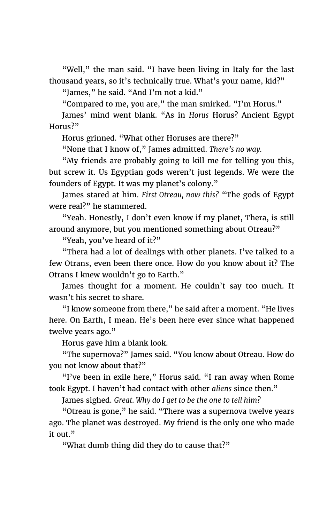"Well," the man said. "I have been living in Italy for the last thousand years, so it's technically true. What's your name, kid?"

"James," he said. "And I'm not a kid."

"Compared to me, you are," the man smirked. "I'm Horus."

James' mind went blank. "As in *Horus* Horus? Ancient Egypt Horus?"

Horus grinned. "What other Horuses are there?"

"None that I know of," James admitted. *There's no way.*

"My friends are probably going to kill me for telling you this, but screw it. Us Egyptian gods weren't just legends. We were the founders of Egypt. It was my planet's colony."

James stared at him. *First Otreau, now this?* "The gods of Egypt were real?" he stammered.

"Yeah. Honestly, I don't even know if my planet, Thera, is still around anymore, but you mentioned something about Otreau?"

"Yeah, you've heard of it?"

"Thera had a lot of dealings with other planets. I've talked to a few Otrans, even been there once. How do you know about it? The Otrans I knew wouldn't go to Earth."

James thought for a moment. He couldn't say too much. It wasn't his secret to share.

"I know someone from there," he said after a moment. "He lives here. On Earth, I mean. He's been here ever since what happened twelve years ago."

Horus gave him a blank look.

"The supernova?" James said. "You know about Otreau. How do you not know about that?"

"I've been in exile here," Horus said. "I ran away when Rome took Egypt. I haven't had contact with other *aliens* since then."

James sighed. *Great. Why do I get to be the one to tell him?*

"Otreau is gone," he said. "There was a supernova twelve years ago. The planet was destroyed. My friend is the only one who made it out."

"What dumb thing did they do to cause that?"